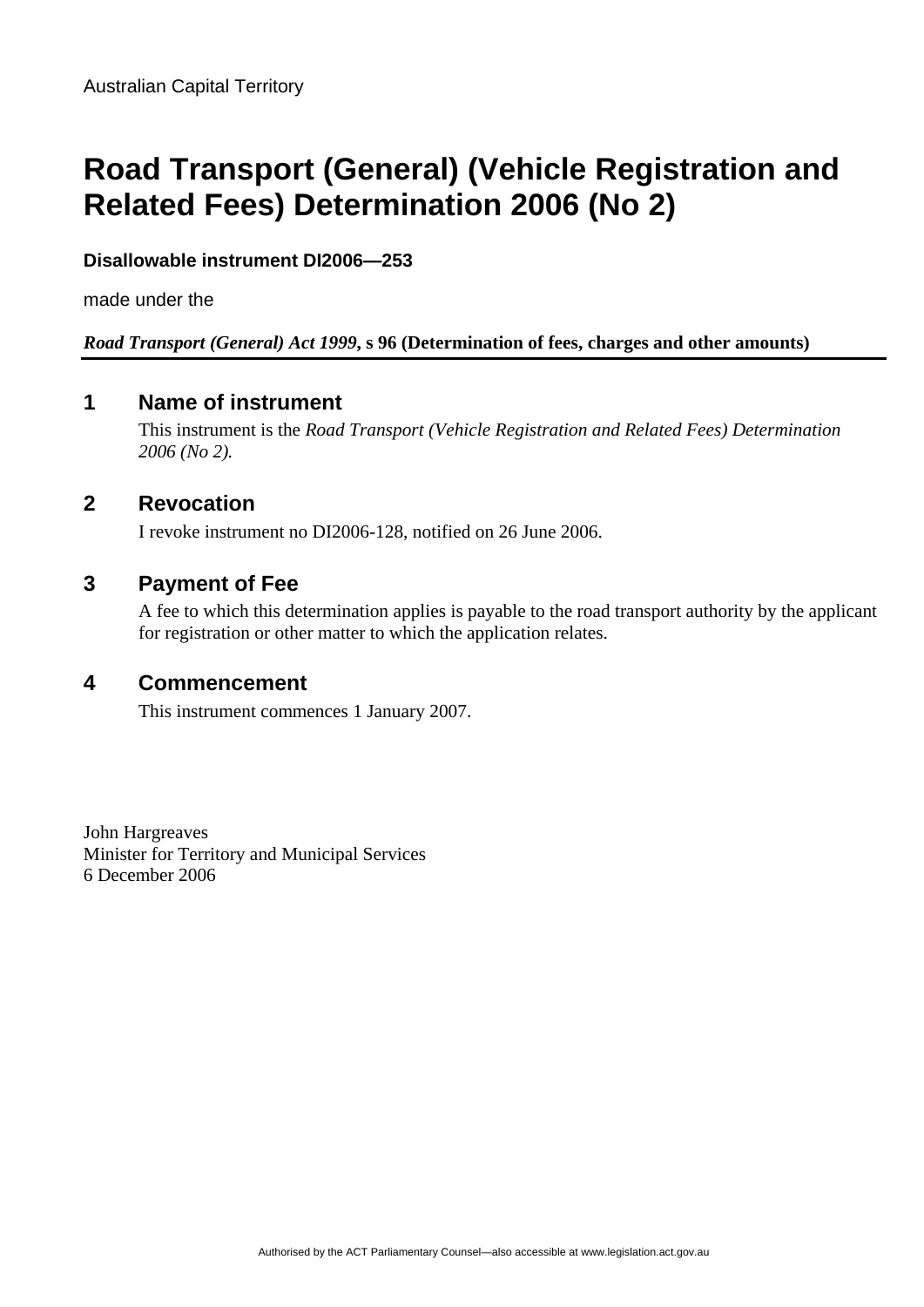# **Road Transport (General) (Vehicle Registration and Related Fees) Determination 2006 (No 2)**

### **Disallowable instrument DI2006—253**

made under the

#### *Road Transport (General) Act 1999***, s 96 (Determination of fees, charges and other amounts)**

### **1 Name of instrument**

This instrument is the *Road Transport (Vehicle Registration and Related Fees) Determination 2006 (No 2).*

## **2 Revocation**

I revoke instrument no DI2006-128, notified on 26 June 2006.

### **3 Payment of Fee**

A fee to which this determination applies is payable to the road transport authority by the applicant for registration or other matter to which the application relates.

#### **4 Commencement**

This instrument commences 1 January 2007.

John Hargreaves Minister for Territory and Municipal Services 6 December 2006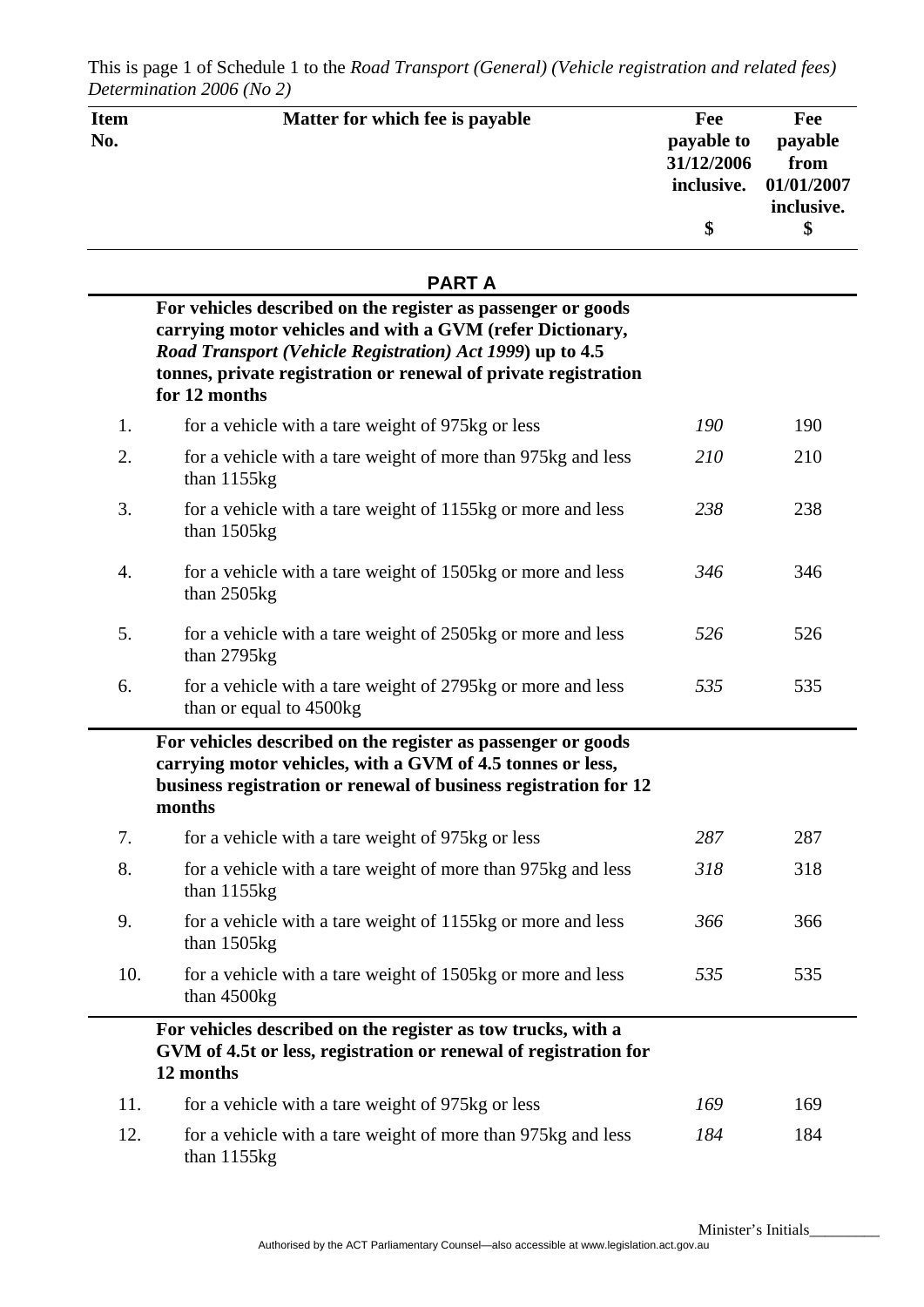| <b>Item</b><br>No. | Matter for which fee is payable                                                                                                                                                                                                                                            | Fee<br>payable to<br>31/12/2006<br>inclusive.<br>\$ | Fee<br>payable<br>from<br>01/01/2007<br>inclusive.<br>\$ |
|--------------------|----------------------------------------------------------------------------------------------------------------------------------------------------------------------------------------------------------------------------------------------------------------------------|-----------------------------------------------------|----------------------------------------------------------|
|                    | <b>PARTA</b>                                                                                                                                                                                                                                                               |                                                     |                                                          |
|                    | For vehicles described on the register as passenger or goods<br>carrying motor vehicles and with a GVM (refer Dictionary,<br>Road Transport (Vehicle Registration) Act 1999) up to 4.5<br>tonnes, private registration or renewal of private registration<br>for 12 months |                                                     |                                                          |
| 1.                 | for a vehicle with a tare weight of 975kg or less                                                                                                                                                                                                                          | 190                                                 | 190                                                      |
| 2.                 | for a vehicle with a tare weight of more than 975kg and less<br>than $1155kg$                                                                                                                                                                                              | 210                                                 | 210                                                      |
| 3.                 | for a vehicle with a tare weight of 1155kg or more and less<br>than 1505kg                                                                                                                                                                                                 | 238                                                 | 238                                                      |
| 4.                 | for a vehicle with a tare weight of 1505kg or more and less<br>than 2505kg                                                                                                                                                                                                 | 346                                                 | 346                                                      |
| 5.                 | for a vehicle with a tare weight of 2505kg or more and less<br>than 2795kg                                                                                                                                                                                                 | 526                                                 | 526                                                      |
| 6.                 | for a vehicle with a tare weight of 2795kg or more and less<br>than or equal to 4500kg                                                                                                                                                                                     | 535                                                 | 535                                                      |
|                    | For vehicles described on the register as passenger or goods<br>carrying motor vehicles, with a GVM of 4.5 tonnes or less,<br>business registration or renewal of business registration for 12<br>months                                                                   |                                                     |                                                          |
| 7.                 | for a vehicle with a tare weight of 975kg or less                                                                                                                                                                                                                          | 287                                                 | 287                                                      |
| 8.                 | for a vehicle with a tare weight of more than 975kg and less<br>than $1155kg$                                                                                                                                                                                              | 318                                                 | 318                                                      |
| 9.                 | for a vehicle with a tare weight of 1155kg or more and less<br>than $1505kg$                                                                                                                                                                                               | 366                                                 | 366                                                      |
| 10.                | for a vehicle with a tare weight of 1505kg or more and less<br>than 4500kg                                                                                                                                                                                                 | 535                                                 | 535                                                      |
|                    | For vehicles described on the register as tow trucks, with a<br>GVM of 4.5t or less, registration or renewal of registration for<br>12 months                                                                                                                              |                                                     |                                                          |
| 11.                | for a vehicle with a tare weight of 975kg or less                                                                                                                                                                                                                          | 169                                                 | 169                                                      |
| 12.                | for a vehicle with a tare weight of more than 975kg and less<br>than $1155kg$                                                                                                                                                                                              | 184                                                 | 184                                                      |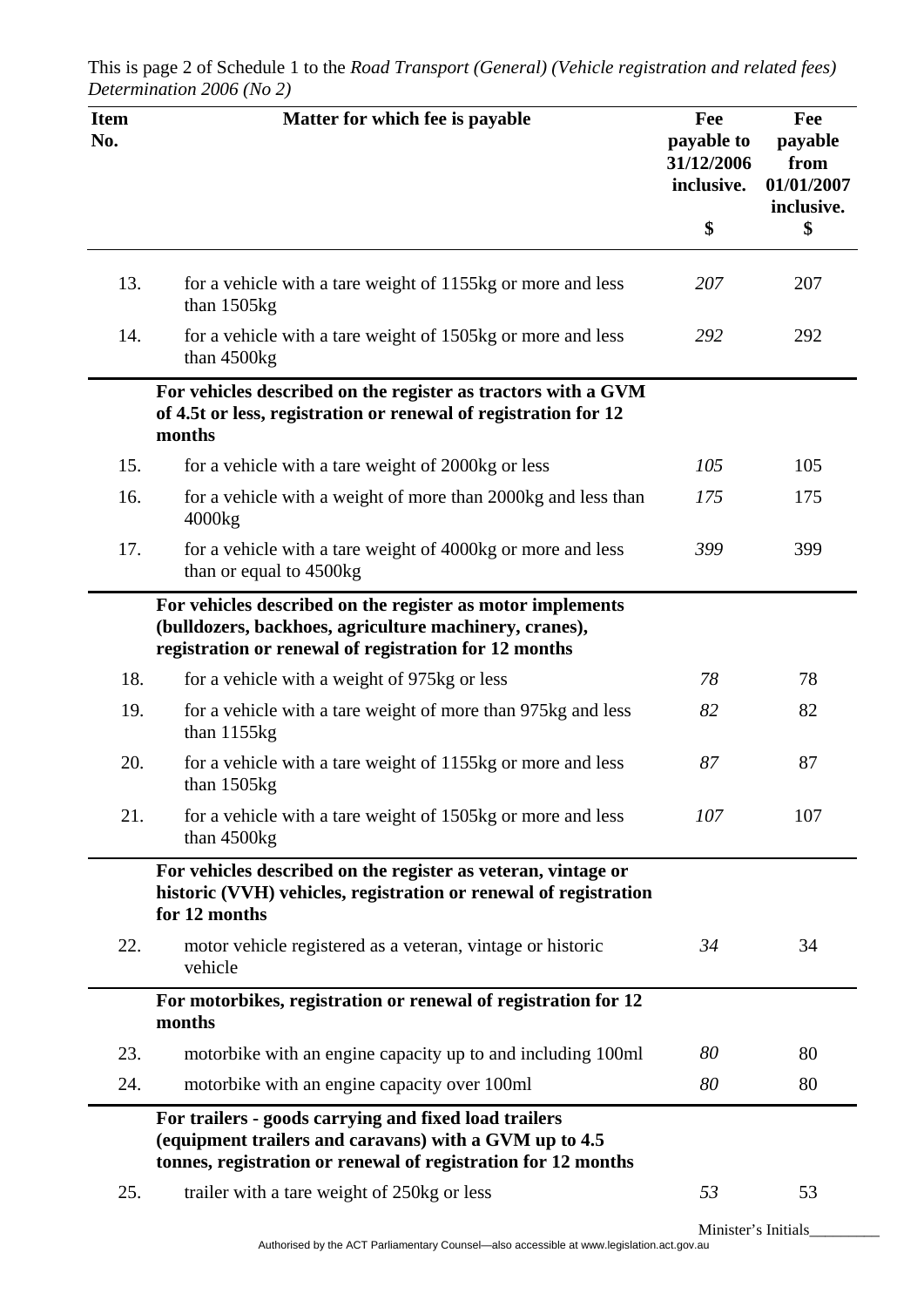| <b>Item</b><br>No. | Matter for which fee is payable                                                                                                                                                  | Fee<br>payable to<br>31/12/2006<br>inclusive. | Fee<br>payable<br>from<br>01/01/2007<br>inclusive. |
|--------------------|----------------------------------------------------------------------------------------------------------------------------------------------------------------------------------|-----------------------------------------------|----------------------------------------------------|
|                    |                                                                                                                                                                                  | \$                                            | \$                                                 |
| 13.                | for a vehicle with a tare weight of 1155kg or more and less<br>than 1505kg                                                                                                       | 207                                           | 207                                                |
| 14.                | for a vehicle with a tare weight of 1505kg or more and less<br>than 4500kg                                                                                                       | 292                                           | 292                                                |
|                    | For vehicles described on the register as tractors with a GVM<br>of 4.5t or less, registration or renewal of registration for 12<br>months                                       |                                               |                                                    |
| 15.                | for a vehicle with a tare weight of 2000kg or less                                                                                                                               | 105                                           | 105                                                |
| 16.                | for a vehicle with a weight of more than 2000kg and less than<br>4000kg                                                                                                          | 175                                           | 175                                                |
| 17.                | for a vehicle with a tare weight of 4000kg or more and less<br>than or equal to 4500kg                                                                                           | 399                                           | 399                                                |
|                    | For vehicles described on the register as motor implements<br>(bulldozers, backhoes, agriculture machinery, cranes),<br>registration or renewal of registration for 12 months    |                                               |                                                    |
| 18.                | for a vehicle with a weight of 975kg or less                                                                                                                                     | 78                                            | 78                                                 |
| 19.                | for a vehicle with a tare weight of more than 975kg and less<br>than $1155kg$                                                                                                    | 82                                            | 82                                                 |
| 20.                | for a vehicle with a tare weight of 1155kg or more and less<br>than 1505kg                                                                                                       | 87                                            | 87                                                 |
| 21.                | for a vehicle with a tare weight of 1505kg or more and less<br>than 4500kg                                                                                                       | 107                                           | 107                                                |
|                    | For vehicles described on the register as veteran, vintage or<br>historic (VVH) vehicles, registration or renewal of registration<br>for 12 months                               |                                               |                                                    |
| 22.                | motor vehicle registered as a veteran, vintage or historic<br>vehicle                                                                                                            | 34                                            | 34                                                 |
|                    | For motorbikes, registration or renewal of registration for 12<br>months                                                                                                         |                                               |                                                    |
| 23.                | motorbike with an engine capacity up to and including 100ml                                                                                                                      | 80                                            | 80                                                 |
| 24.                | motorbike with an engine capacity over 100ml                                                                                                                                     | 80                                            | 80                                                 |
|                    | For trailers - goods carrying and fixed load trailers<br>(equipment trailers and caravans) with a GVM up to 4.5<br>tonnes, registration or renewal of registration for 12 months |                                               |                                                    |
| 25.                | trailer with a tare weight of 250kg or less                                                                                                                                      | 53                                            | 53                                                 |
|                    |                                                                                                                                                                                  | Minister's Initials                           |                                                    |

Authorised by the ACT Parliamentary Counsel—also accessible at www.legislation.act.gov.au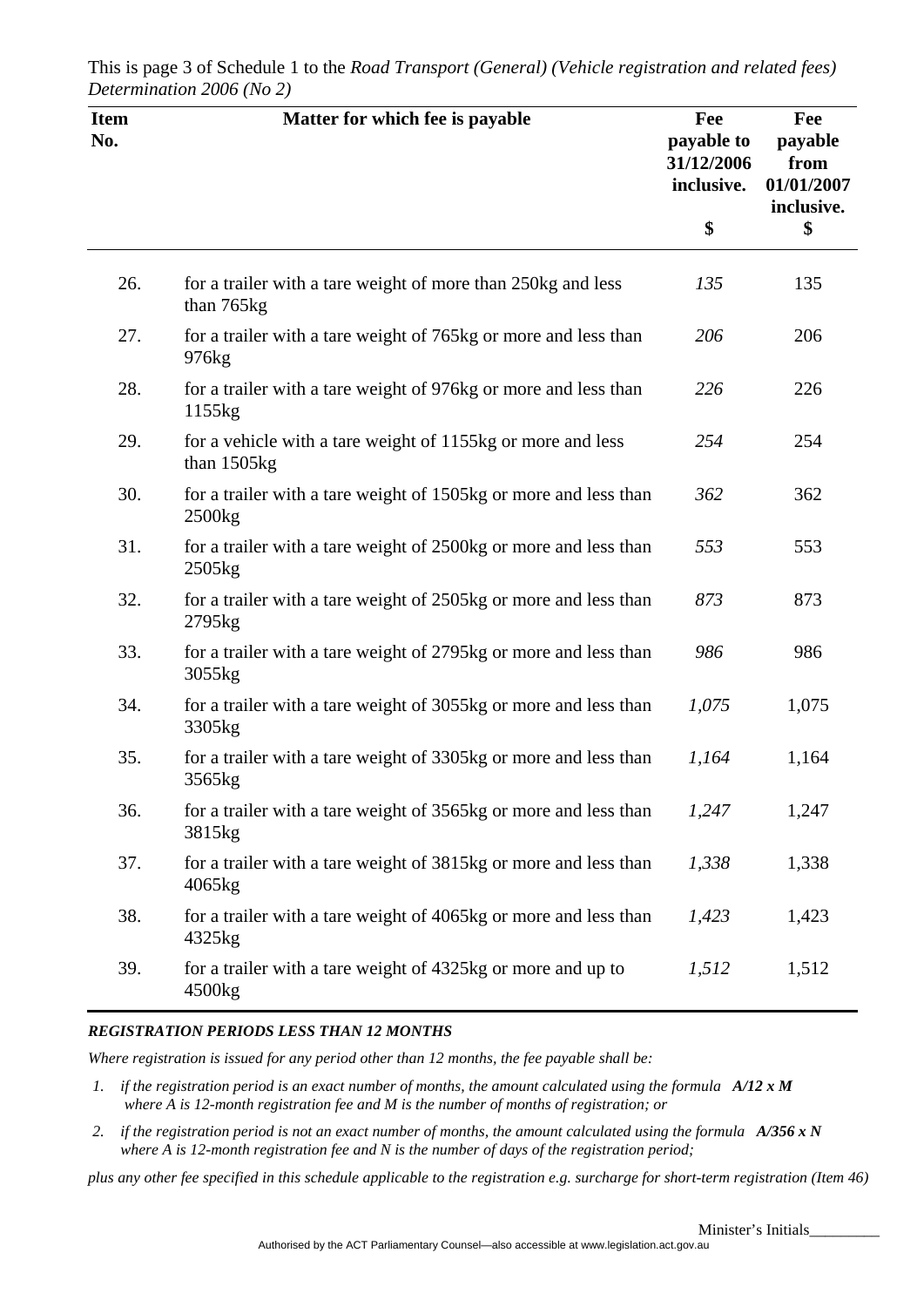| <b>Item</b><br>No. | Matter for which fee is payable                                                          | Fee<br>payable to<br>31/12/2006<br>inclusive. | Fee<br>payable<br>from<br>01/01/2007<br>inclusive. |
|--------------------|------------------------------------------------------------------------------------------|-----------------------------------------------|----------------------------------------------------|
|                    |                                                                                          | \$                                            | \$                                                 |
| 26.                | for a trailer with a tare weight of more than 250kg and less<br>than 765kg               | 135                                           | 135                                                |
| 27.                | for a trailer with a tare weight of 765kg or more and less than<br>976 <sub>kg</sub>     | 206                                           | 206                                                |
| 28.                | for a trailer with a tare weight of 976kg or more and less than<br>1155kg                | 226                                           | 226                                                |
| 29.                | for a vehicle with a tare weight of 1155kg or more and less<br>than 1505kg               | 254                                           | 254                                                |
| 30.                | for a trailer with a tare weight of 1505kg or more and less than<br>2500 <sub>kg</sub>   | 362                                           | 362                                                |
| 31.                | for a trailer with a tare weight of 2500kg or more and less than<br>$2505$ <sub>kg</sub> | 553                                           | 553                                                |
| 32.                | for a trailer with a tare weight of 2505kg or more and less than<br>2795kg               | 873                                           | 873                                                |
| 33.                | for a trailer with a tare weight of 2795kg or more and less than<br>3055kg               | 986                                           | 986                                                |
| 34.                | for a trailer with a tare weight of 3055kg or more and less than<br>3305 <sub>kg</sub>   | 1,075                                         | 1,075                                              |
| 35.                | for a trailer with a tare weight of 3305kg or more and less than<br>3565kg               | 1,164                                         | 1,164                                              |
| 36.                | for a trailer with a tare weight of 3565kg or more and less than<br>3815kg               | 1,247                                         | 1,247                                              |
| 37.                | for a trailer with a tare weight of 3815kg or more and less than<br>4065kg               | 1,338                                         | 1,338                                              |
| 38.                | for a trailer with a tare weight of 4065kg or more and less than<br>4325kg               | 1,423                                         | 1,423                                              |
| 39.                | for a trailer with a tare weight of 4325kg or more and up to<br>4500kg                   | 1,512                                         | 1,512                                              |

This is page 3 of Schedule 1 to the *Road Transport (General) (Vehicle registration and related fees) Determination 2006 (No 2)*

#### *REGISTRATION PERIODS LESS THAN 12 MONTHS*

*Where registration is issued for any period other than 12 months, the fee payable shall be:* 

- *1. if the registration period is an exact number of months, the amount calculated using the formula A/12 x M where A is 12-month registration fee and M is the number of months of registration; or*
- *2. if the registration period is not an exact number of months, the amount calculated using the formula A/356 x N where A is 12-month registration fee and N is the number of days of the registration period;*

*plus any other fee specified in this schedule applicable to the registration e.g. surcharge for short-term registration (Item 46)*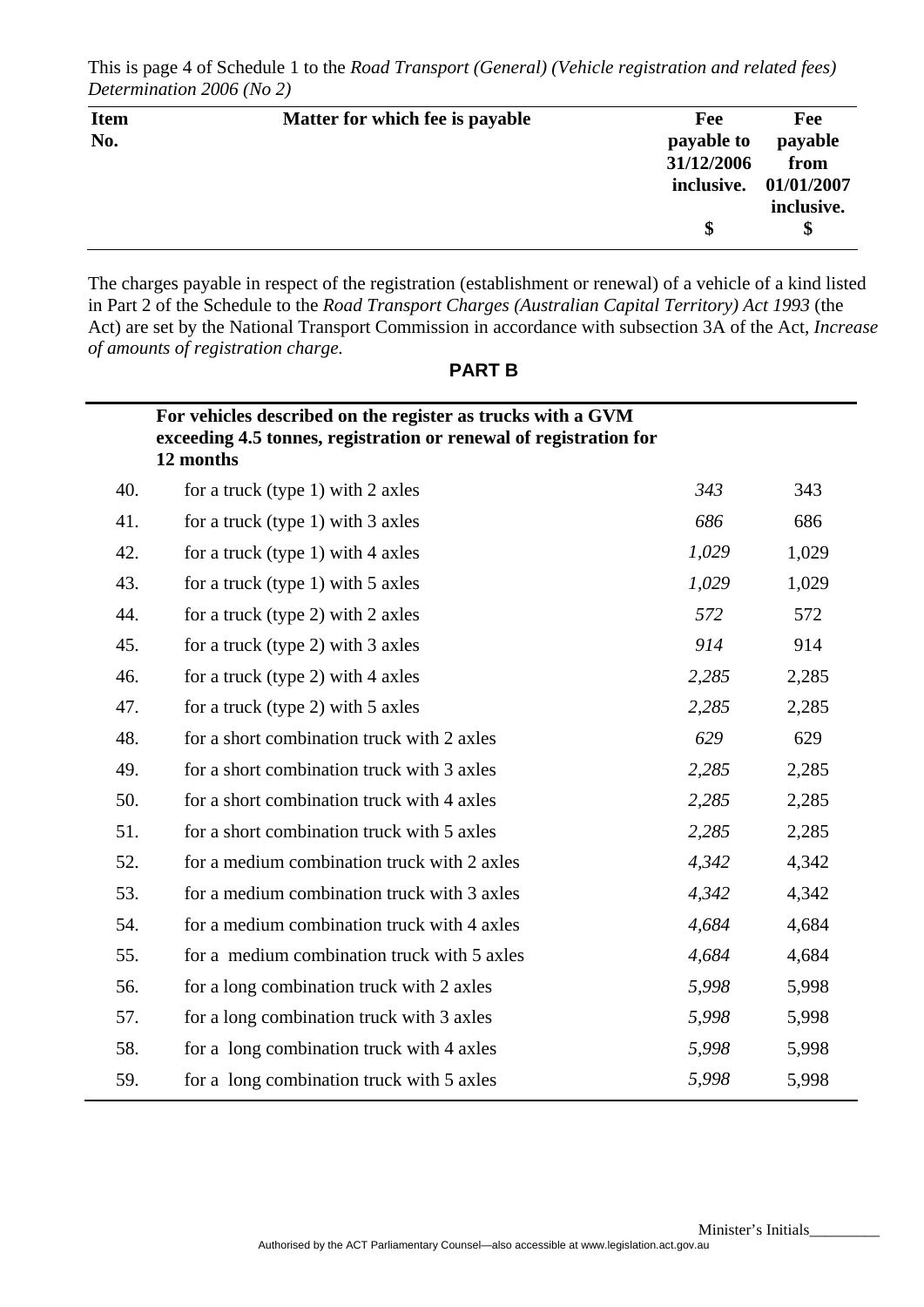This is page 4 of Schedule 1 to the *Road Transport (General) (Vehicle registration and related fees) Determination 2006 (No 2)*

| <b>Item</b> | Matter for which fee is payable | Fee        | Fee                   |
|-------------|---------------------------------|------------|-----------------------|
| No.         |                                 | payable to | payable               |
|             |                                 | 31/12/2006 | from                  |
|             |                                 |            | inclusive. 01/01/2007 |
|             |                                 |            | inclusive.            |
|             |                                 | \$         | \$                    |

The charges payable in respect of the registration (establishment or renewal) of a vehicle of a kind listed in Part 2 of the Schedule to the *Road Transport Charges (Australian Capital Territory) Act 1993* (the Act) are set by the National Transport Commission in accordance with subsection 3A of the Act, *Increase of amounts of registration charge.* 

|     | For vehicles described on the register as trucks with a GVM<br>exceeding 4.5 tonnes, registration or renewal of registration for<br>12 months |       |       |
|-----|-----------------------------------------------------------------------------------------------------------------------------------------------|-------|-------|
| 40. | for a truck (type 1) with 2 axles                                                                                                             | 343   | 343   |
| 41. | for a truck (type 1) with 3 axles                                                                                                             | 686   | 686   |
| 42. | for a truck (type 1) with $4$ axles                                                                                                           | 1,029 | 1,029 |
| 43. | for a truck (type 1) with 5 axles                                                                                                             | 1,029 | 1,029 |
| 44. | for a truck (type 2) with 2 axles                                                                                                             | 572   | 572   |
| 45. | for a truck (type 2) with 3 axles                                                                                                             | 914   | 914   |
| 46. | for a truck (type 2) with 4 axles                                                                                                             | 2,285 | 2,285 |
| 47. | for a truck (type 2) with 5 axles                                                                                                             | 2,285 | 2,285 |
| 48. | for a short combination truck with 2 axles                                                                                                    | 629   | 629   |
| 49. | for a short combination truck with 3 axles                                                                                                    | 2,285 | 2,285 |
| 50. | for a short combination truck with 4 axles                                                                                                    | 2,285 | 2,285 |
| 51. | for a short combination truck with 5 axles                                                                                                    | 2,285 | 2,285 |
| 52. | for a medium combination truck with 2 axles                                                                                                   | 4,342 | 4,342 |
| 53. | for a medium combination truck with 3 axles                                                                                                   | 4,342 | 4,342 |
| 54. | for a medium combination truck with 4 axles                                                                                                   | 4,684 | 4,684 |
| 55. | for a medium combination truck with 5 axles                                                                                                   | 4,684 | 4,684 |
| 56. | for a long combination truck with 2 axles                                                                                                     | 5,998 | 5,998 |
| 57. | for a long combination truck with 3 axles                                                                                                     | 5,998 | 5,998 |
| 58. | for a long combination truck with 4 axles                                                                                                     | 5,998 | 5,998 |
| 59. | for a long combination truck with 5 axles                                                                                                     | 5,998 | 5,998 |

**PART B**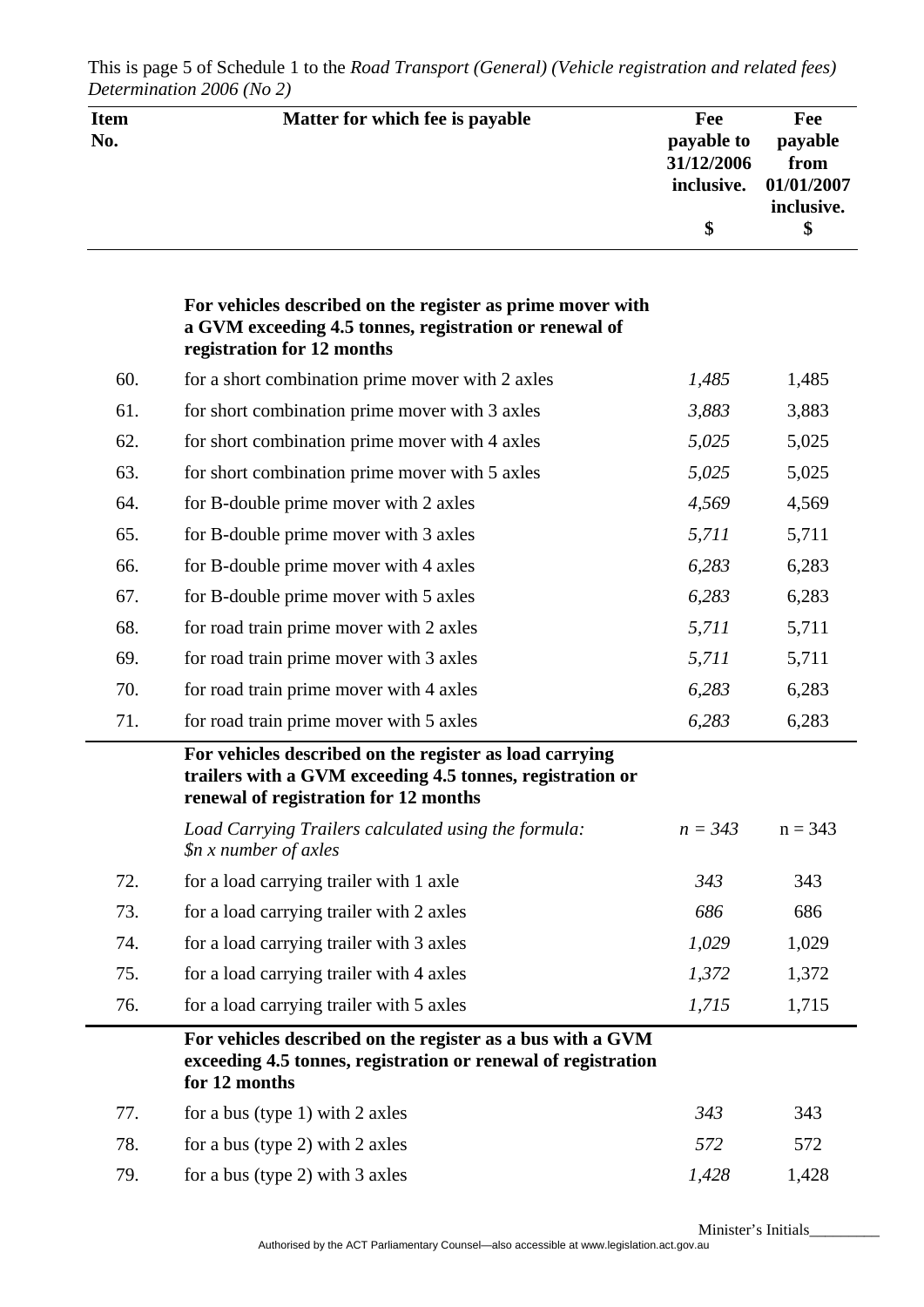| <b>Item</b><br>No. | Matter for which fee is payable                                                                                                                               | Fee<br>payable to<br>31/12/2006<br>inclusive.<br>\$ | Fee<br>payable<br>from<br>01/01/2007<br>inclusive.<br>\$ |
|--------------------|---------------------------------------------------------------------------------------------------------------------------------------------------------------|-----------------------------------------------------|----------------------------------------------------------|
|                    | For vehicles described on the register as prime mover with<br>a GVM exceeding 4.5 tonnes, registration or renewal of<br>registration for 12 months            |                                                     |                                                          |
| 60.                | for a short combination prime mover with 2 axles                                                                                                              | 1,485                                               | 1,485                                                    |
| 61.                | for short combination prime mover with 3 axles                                                                                                                | 3,883                                               | 3,883                                                    |
| 62.                | for short combination prime mover with 4 axles                                                                                                                | 5,025                                               | 5,025                                                    |
| 63.                | for short combination prime mover with 5 axles                                                                                                                | 5,025                                               | 5,025                                                    |
| 64.                | for B-double prime mover with 2 axles                                                                                                                         | 4,569                                               | 4,569                                                    |
| 65.                | for B-double prime mover with 3 axles                                                                                                                         | 5,711                                               | 5,711                                                    |
| 66.                | for B-double prime mover with 4 axles                                                                                                                         | 6,283                                               | 6,283                                                    |
| 67.                | for B-double prime mover with 5 axles                                                                                                                         | 6,283                                               | 6,283                                                    |
| 68.                | for road train prime mover with 2 axles                                                                                                                       | 5,711                                               | 5,711                                                    |
| 69.                | for road train prime mover with 3 axles                                                                                                                       | 5,711                                               | 5,711                                                    |
| 70.                | for road train prime mover with 4 axles                                                                                                                       | 6,283                                               | 6,283                                                    |
| 71.                | for road train prime mover with 5 axles                                                                                                                       | 6,283                                               | 6,283                                                    |
|                    | For vehicles described on the register as load carrying<br>trailers with a GVM exceeding 4.5 tonnes, registration or<br>renewal of registration for 12 months |                                                     |                                                          |
|                    | Load Carrying Trailers calculated using the formula:<br>\$n x number of axles                                                                                 | $n = 343$                                           | $n = 343$                                                |
| 72.                | for a load carrying trailer with 1 axle                                                                                                                       | 343                                                 | 343                                                      |
| 73.                | for a load carrying trailer with 2 axles                                                                                                                      | 686                                                 | 686                                                      |
| 74.                | for a load carrying trailer with 3 axles                                                                                                                      | 1,029                                               | 1,029                                                    |
| 75.                | for a load carrying trailer with 4 axles                                                                                                                      | 1,372                                               | 1,372                                                    |
| 76.                | for a load carrying trailer with 5 axles                                                                                                                      | 1,715                                               | 1,715                                                    |
|                    | For vehicles described on the register as a bus with a GVM<br>exceeding 4.5 tonnes, registration or renewal of registration<br>for 12 months                  |                                                     |                                                          |
| 77.                | for a bus (type 1) with 2 axles                                                                                                                               | 343                                                 | 343                                                      |
| 78.                | for a bus (type 2) with 2 axles                                                                                                                               | 572                                                 | 572                                                      |
| 79.                | for a bus (type 2) with 3 axles                                                                                                                               | 1,428                                               | 1,428                                                    |

This is page 5 of Schedule 1 to the *Road Transport (General) (Vehicle registration and related fees) Determination 2006 (No 2)*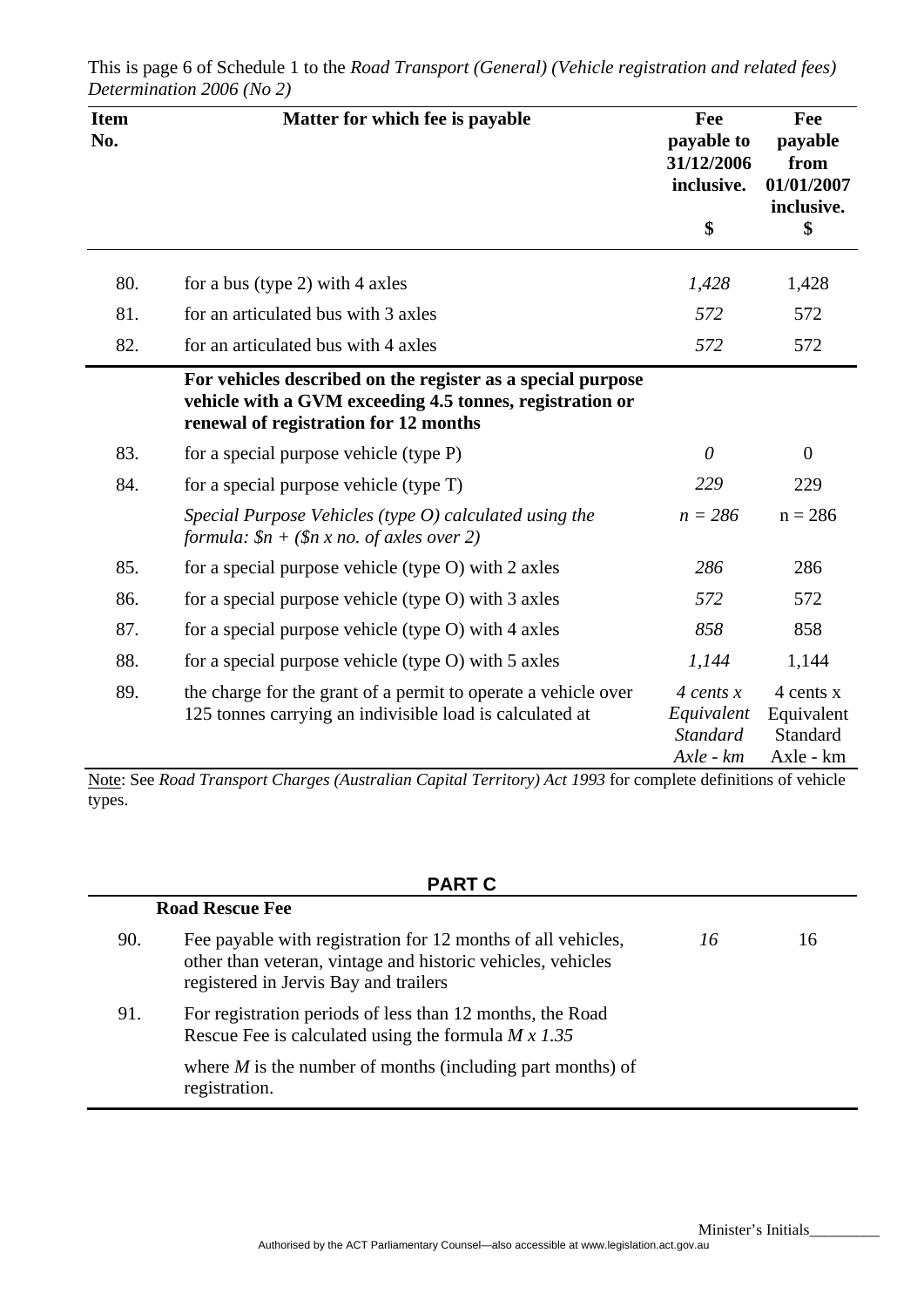| <b>Item</b><br>No. | Matter for which fee is payable                                                                                                                                  | Fee<br>payable to<br>31/12/2006<br>inclusive.<br>\$                 | Fee<br>payable<br>from<br>01/01/2007<br>inclusive.<br>\$ |
|--------------------|------------------------------------------------------------------------------------------------------------------------------------------------------------------|---------------------------------------------------------------------|----------------------------------------------------------|
|                    |                                                                                                                                                                  |                                                                     |                                                          |
| 80.                | for a bus (type 2) with 4 axles                                                                                                                                  | 1,428                                                               | 1,428                                                    |
| 81.                | for an articulated bus with 3 axles                                                                                                                              | 572                                                                 | 572                                                      |
| 82.                | for an articulated bus with 4 axles                                                                                                                              | 572                                                                 | 572                                                      |
|                    | For vehicles described on the register as a special purpose<br>vehicle with a GVM exceeding 4.5 tonnes, registration or<br>renewal of registration for 12 months |                                                                     |                                                          |
| 83.                | for a special purpose vehicle (type P)                                                                                                                           | $\theta$                                                            | $\overline{0}$                                           |
| 84.                | for a special purpose vehicle (type T)                                                                                                                           | 229                                                                 | 229                                                      |
|                    | Special Purpose Vehicles (type $O$ ) calculated using the<br>formula: $$n + ($n x no. of axes over 2)$$                                                          | $n = 286$                                                           | $n = 286$                                                |
| 85.                | for a special purpose vehicle (type O) with 2 axles                                                                                                              | 286                                                                 | 286                                                      |
| 86.                | for a special purpose vehicle (type O) with 3 axles                                                                                                              | 572                                                                 | 572                                                      |
| 87.                | for a special purpose vehicle (type $O$ ) with 4 axles                                                                                                           | 858                                                                 | 858                                                      |
| 88.                | for a special purpose vehicle (type O) with 5 axles                                                                                                              | 1,144                                                               | 1,144                                                    |
| 89.                | the charge for the grant of a permit to operate a vehicle over<br>125 tonnes carrying an indivisible load is calculated at                                       | $\frac{4}{x}$ cents x<br>Equivalent<br><b>Standard</b><br>Axle - km | 4 cents x<br>Equivalent<br>Standard<br>Axle - km         |

This is page 6 of Schedule 1 to the *Road Transport (General) (Vehicle registration and related fees) Determination 2006 (No 2)*

Note: See *Road Transport Charges (Australian Capital Territory) Act 1993* for complete definitions of vehicle types.

# **PART C**

|     | <b>Road Rescue Fee</b>                                                                                                                                               |    |    |
|-----|----------------------------------------------------------------------------------------------------------------------------------------------------------------------|----|----|
| 90. | Fee payable with registration for 12 months of all vehicles,<br>other than veteran, vintage and historic vehicles, vehicles<br>registered in Jervis Bay and trailers | 16 | 16 |
| 91. | For registration periods of less than 12 months, the Road<br>Rescue Fee is calculated using the formula $M \times 1.35$                                              |    |    |
|     | where $M$ is the number of months (including part months) of<br>registration.                                                                                        |    |    |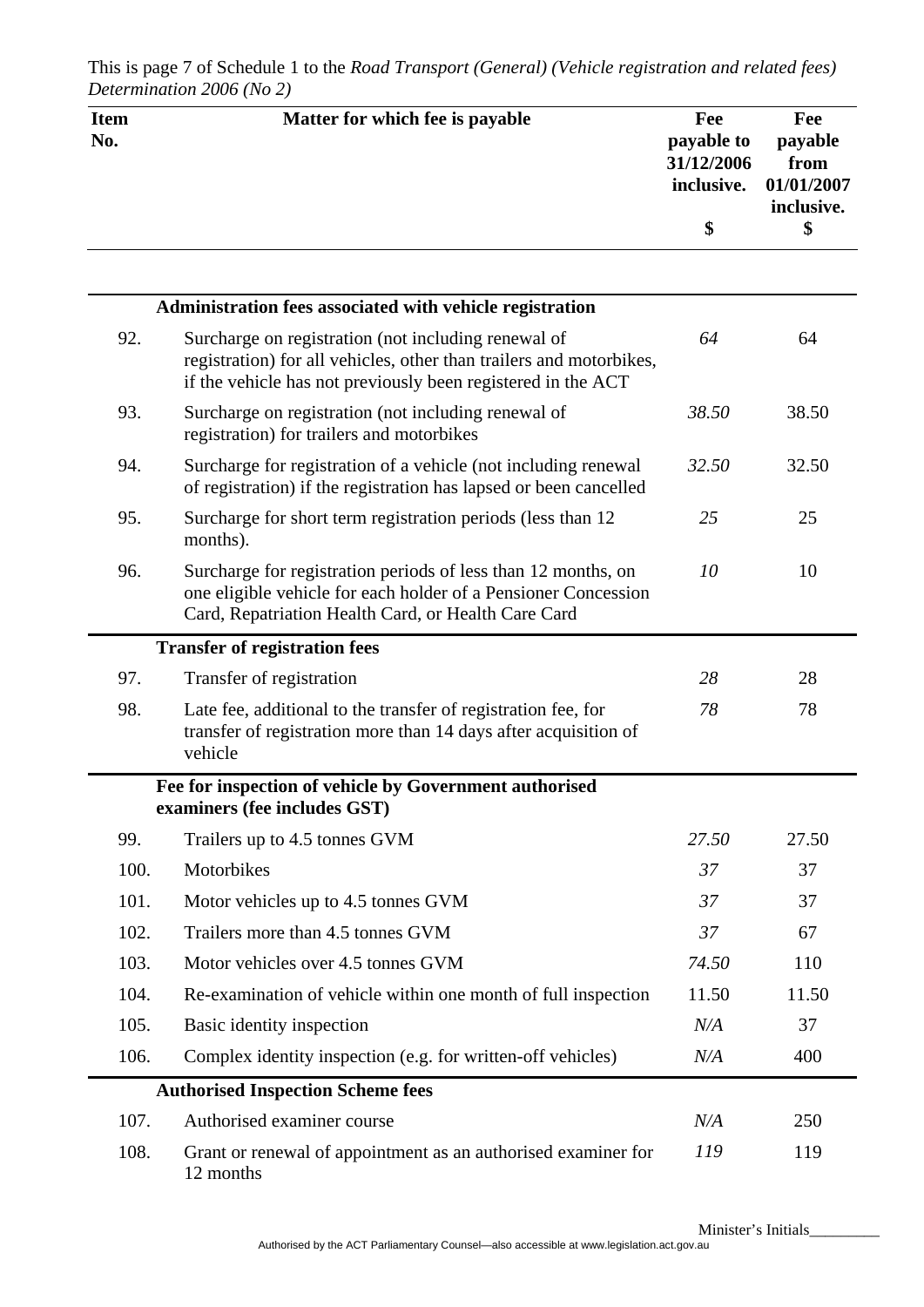| <b>Item</b><br>No. | Matter for which fee is payable                                                                                                                                                            | Fee<br>payable to<br>31/12/2006<br>inclusive. | Fee<br>payable<br>from<br>01/01/2007<br>inclusive. |
|--------------------|--------------------------------------------------------------------------------------------------------------------------------------------------------------------------------------------|-----------------------------------------------|----------------------------------------------------|
|                    |                                                                                                                                                                                            | \$                                            | \$                                                 |
|                    |                                                                                                                                                                                            |                                               |                                                    |
|                    | Administration fees associated with vehicle registration                                                                                                                                   |                                               |                                                    |
| 92.                | Surcharge on registration (not including renewal of<br>registration) for all vehicles, other than trailers and motorbikes,<br>if the vehicle has not previously been registered in the ACT | 64                                            | 64                                                 |
| 93.                | Surcharge on registration (not including renewal of<br>registration) for trailers and motorbikes                                                                                           | 38.50                                         | 38.50                                              |
| 94.                | Surcharge for registration of a vehicle (not including renewal<br>of registration) if the registration has lapsed or been cancelled                                                        | 32.50                                         | 32.50                                              |
| 95.                | Surcharge for short term registration periods (less than 12)<br>months).                                                                                                                   | 25                                            | 25                                                 |
| 96.                | Surcharge for registration periods of less than 12 months, on<br>one eligible vehicle for each holder of a Pensioner Concession<br>Card, Repatriation Health Card, or Health Care Card     | 10                                            | 10                                                 |
|                    | <b>Transfer of registration fees</b>                                                                                                                                                       |                                               |                                                    |
| 97.                | Transfer of registration                                                                                                                                                                   | 28                                            | 28                                                 |
| 98.                | Late fee, additional to the transfer of registration fee, for<br>transfer of registration more than 14 days after acquisition of<br>vehicle                                                | 78                                            | 78                                                 |
|                    | Fee for inspection of vehicle by Government authorised<br>examiners (fee includes GST)                                                                                                     |                                               |                                                    |
| 99.                | Trailers up to 4.5 tonnes GVM                                                                                                                                                              | 27.50                                         | 27.50                                              |
| 100.               | Motorbikes                                                                                                                                                                                 | 37                                            | 37                                                 |
| 101.               | Motor vehicles up to 4.5 tonnes GVM                                                                                                                                                        | 37                                            | 37                                                 |
| 102.               | Trailers more than 4.5 tonnes GVM                                                                                                                                                          | 37                                            | 67                                                 |
| 103.               | Motor vehicles over 4.5 tonnes GVM                                                                                                                                                         | 74.50                                         | 110                                                |
| 104.               | Re-examination of vehicle within one month of full inspection                                                                                                                              | 11.50                                         | 11.50                                              |
| 105.               | Basic identity inspection                                                                                                                                                                  | N/A                                           | 37                                                 |
| 106.               | Complex identity inspection (e.g. for written-off vehicles)                                                                                                                                | $N\!/\!A$                                     | 400                                                |
|                    | <b>Authorised Inspection Scheme fees</b>                                                                                                                                                   |                                               |                                                    |
| 107.               | Authorised examiner course                                                                                                                                                                 | N/A                                           | 250                                                |
| 108.               | Grant or renewal of appointment as an authorised examiner for<br>12 months                                                                                                                 | 119                                           | 119                                                |